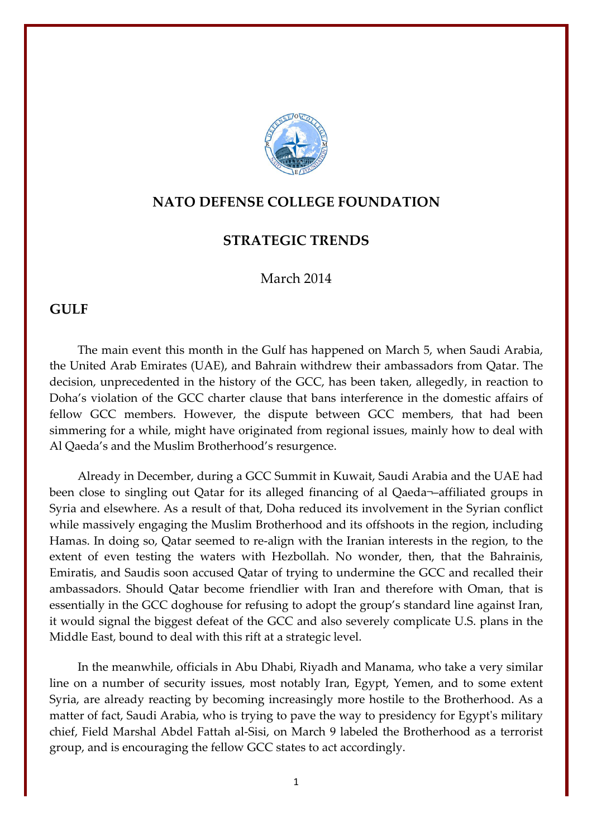

## **NATO DEFENSE COLLEGE FOUNDATION**

## **STRATEGIC TRENDS**

## March 2014

## **GULF**

The main event this month in the Gulf has happened on March 5, when Saudi Arabia, the United Arab Emirates (UAE), and Bahrain withdrew their ambassadors from Qatar. The decision, unprecedented in the history of the GCC, has been taken, allegedly, in reaction to Doha's violation of the GCC charter clause that bans interference in the domestic affairs of fellow GCC members. However, the dispute between GCC members, that had been simmering for a while, might have originated from regional issues, mainly how to deal with Al Qaeda's and the Muslim Brotherhood's resurgence.

Already in December, during a GCC Summit in Kuwait, Saudi Arabia and the UAE had been close to singling out Qatar for its alleged financing of al Qaeda¬–affiliated groups in Syria and elsewhere. As a result of that, Doha reduced its involvement in the Syrian conflict while massively engaging the Muslim Brotherhood and its offshoots in the region, including Hamas. In doing so, Qatar seemed to re-align with the Iranian interests in the region, to the extent of even testing the waters with Hezbollah. No wonder, then, that the Bahrainis, Emiratis, and Saudis soon accused Qatar of trying to undermine the GCC and recalled their ambassadors. Should Qatar become friendlier with Iran and therefore with Oman, that is essentially in the GCC doghouse for refusing to adopt the group's standard line against Iran, it would signal the biggest defeat of the GCC and also severely complicate U.S. plans in the Middle East, bound to deal with this rift at a strategic level.

In the meanwhile, officials in Abu Dhabi, Riyadh and Manama, who take a very similar line on a number of security issues, most notably Iran, Egypt, Yemen, and to some extent Syria, are already reacting by becoming increasingly more hostile to the Brotherhood. As a matter of fact, Saudi Arabia, who is trying to pave the way to presidency for Egypt's military chief, Field Marshal Abdel Fattah al-Sisi, on March 9 labeled the Brotherhood as a terrorist group, and is encouraging the fellow GCC states to act accordingly.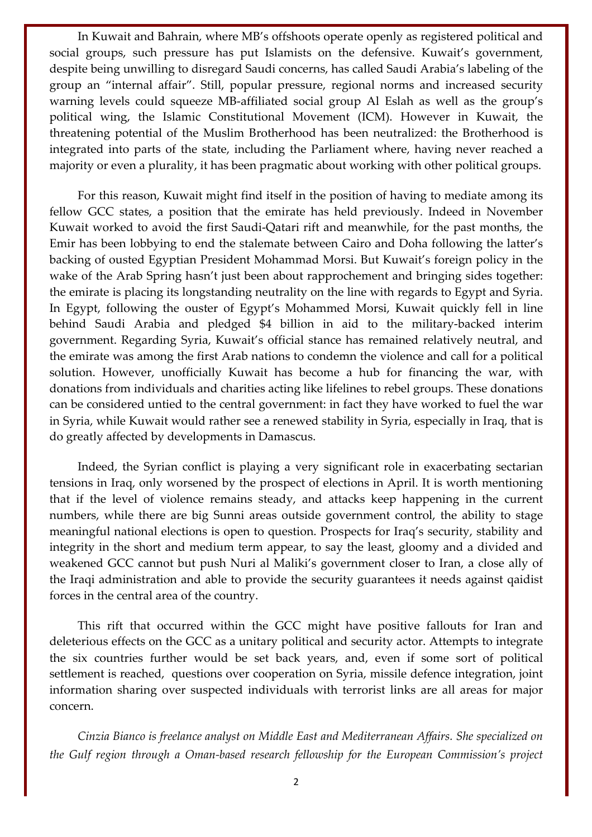In Kuwait and Bahrain, where MB's offshoots operate openly as registered political and social groups, such pressure has put Islamists on the defensive. Kuwait's government, despite being unwilling to disregard Saudi concerns, has called Saudi Arabia's labeling of the group an "internal affair". Still, popular pressure, regional norms and increased security warning levels could squeeze MB-affiliated social group Al Eslah as well as the group's political wing, the Islamic Constitutional Movement (ICM). However in Kuwait, the threatening potential of the Muslim Brotherhood has been neutralized: the Brotherhood is integrated into parts of the state, including the Parliament where, having never reached a majority or even a plurality, it has been pragmatic about working with other political groups.

For this reason, Kuwait might find itself in the position of having to mediate among its fellow GCC states, a position that the emirate has held previously. Indeed in November Kuwait worked to avoid the first Saudi-Qatari rift and meanwhile, for the past months, the Emir has been lobbying to end the stalemate between Cairo and Doha following the latter's backing of ousted Egyptian President Mohammad Morsi. But Kuwait's foreign policy in the wake of the Arab Spring hasn't just been about rapprochement and bringing sides together: the emirate is placing its longstanding neutrality on the line with regards to Egypt and Syria. In Egypt, following the ouster of Egypt's Mohammed Morsi, Kuwait quickly fell in line behind Saudi Arabia and pledged \$4 billion in aid to the military-backed interim government. Regarding Syria, Kuwait's official stance has remained relatively neutral, and the emirate was among the first Arab nations to condemn the violence and call for a political solution. However, unofficially Kuwait has become a hub for financing the war, with donations from individuals and charities acting like lifelines to rebel groups. These donations can be considered untied to the central government: in fact they have worked to fuel the war in Syria, while Kuwait would rather see a renewed stability in Syria, especially in Iraq, that is do greatly affected by developments in Damascus.

Indeed, the Syrian conflict is playing a very significant role in exacerbating sectarian tensions in Iraq, only worsened by the prospect of elections in April. It is worth mentioning that if the level of violence remains steady, and attacks keep happening in the current numbers, while there are big Sunni areas outside government control, the ability to stage meaningful national elections is open to question. Prospects for Iraq's security, stability and integrity in the short and medium term appear, to say the least, gloomy and a divided and weakened GCC cannot but push Nuri al Maliki's government closer to Iran, a close ally of the Iraqi administration and able to provide the security guarantees it needs against qaidist forces in the central area of the country.

This rift that occurred within the GCC might have positive fallouts for Iran and deleterious effects on the GCC as a unitary political and security actor. Attempts to integrate the six countries further would be set back years, and, even if some sort of political settlement is reached, questions over cooperation on Syria, missile defence integration, joint information sharing over suspected individuals with terrorist links are all areas for major concern.

*Cinzia Bianco is freelance analyst on Middle East and Mediterranean Affairs. She specialized on the Gulf region through a Oman-based research fellowship for the European Commission's project*